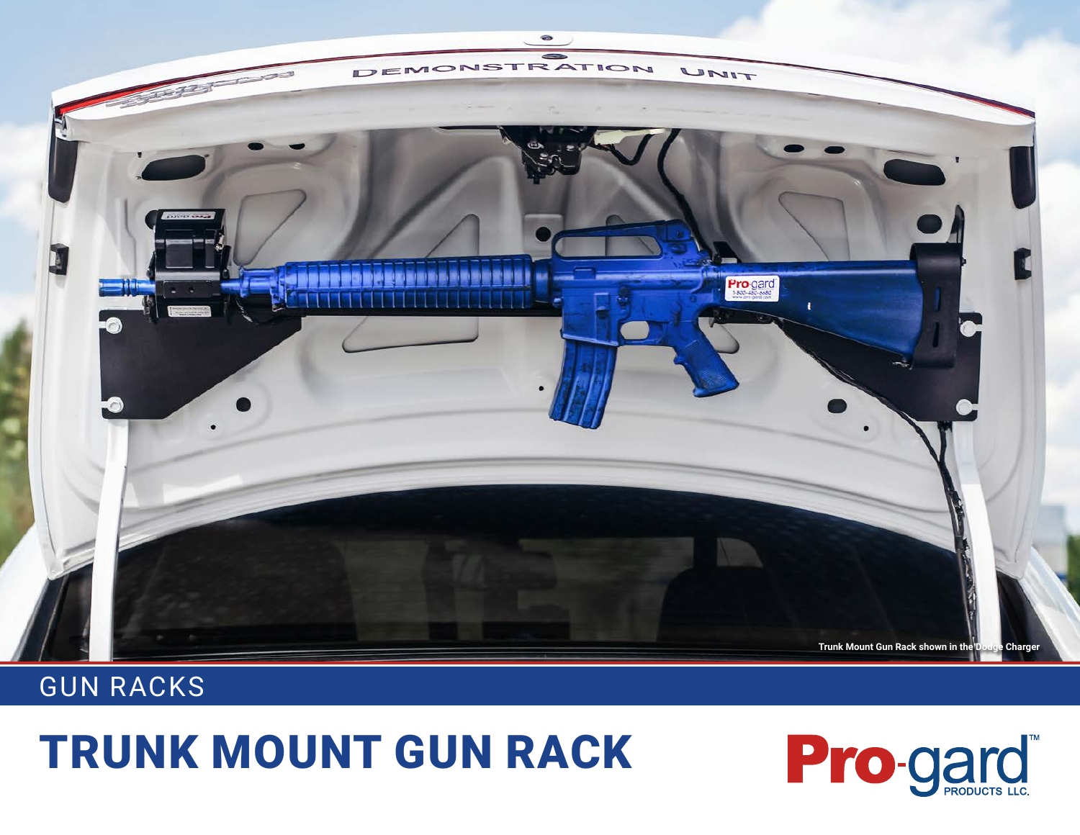

## GUN RACKS

## TRUNK MOUNT GUN RACK